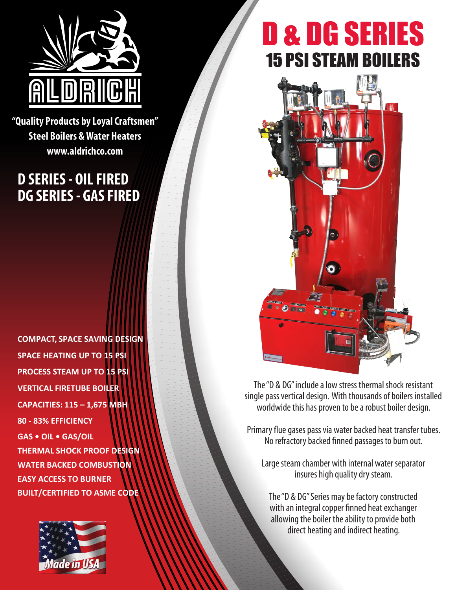

**"Quality Products by Loyal Craftsmen" Steel Boilers & Water Heaters www.aldrichco.com**

## **D SERIES - OIL FIRED DG SERIES - GAS FIRED**

**COMPACT, SPACE SAVING DESIGN SPACE HEATING UP TO 15 PSI PROCESS STEAM UP TO 15 PSI VERTICAL FIRETUBE BOILER CAPACITIES: 115 – 1,675 MBH 80 - 83% EFFICIENCY GAS • OIL • GAS/OIL THERMAL SHOCK PROOF DESIGN WATER BACKED COMBUSTION EASY ACCESS TO BURNER BUILT/CERTIFIED TO ASME CODE**



## D & DG SERIES 15 PSI STEAM BOILERS



The "D & DG" include a low stress thermal shock resistant single pass vertical design. With thousands of boilers installed worldwide this has proven to be a robust boiler design.

Primary flue gases pass via water backed heat transfer tubes. No refractory backed finned passages to burn out.

Large steam chamber with internal water separator insures high quality dry steam.

The "D & DG" Series may be factory constructed with an integral copper finned heat exchanger allowing the boiler the ability to provide both direct heating and indirect heating.